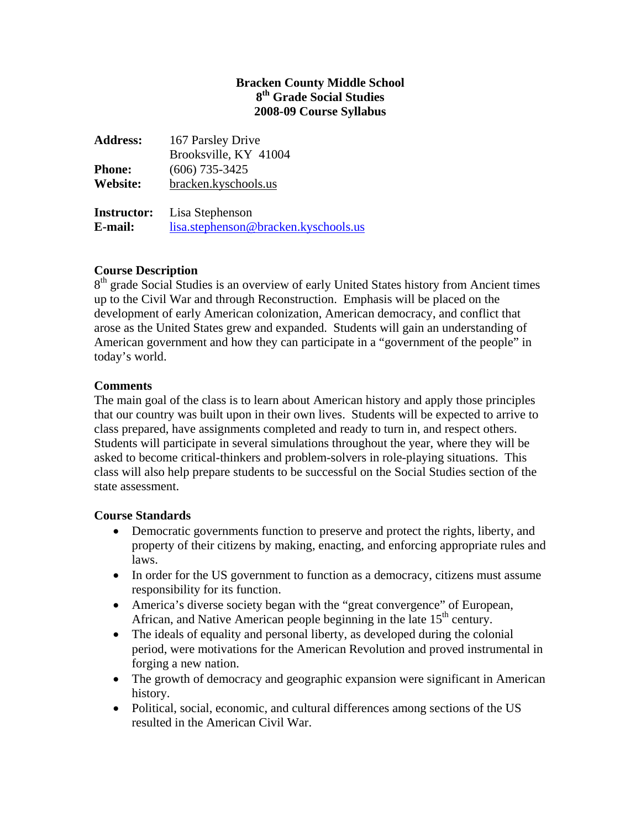## **Bracken County Middle School 8th Grade Social Studies 2008-09 Course Syllabus**

| <b>Address:</b>    | 167 Parsley Drive                    |
|--------------------|--------------------------------------|
|                    | Brooksville, KY 41004                |
| <b>Phone:</b>      | $(606)$ 735-3425                     |
| Website:           | bracken.kyschools.us                 |
| <b>Instructor:</b> | Lisa Stephenson                      |
| E-mail:            | lisa.stephenson@bracken.kyschools.us |

# **Course Description**

 $8<sup>th</sup>$  grade Social Studies is an overview of early United States history from Ancient times up to the Civil War and through Reconstruction. Emphasis will be placed on the development of early American colonization, American democracy, and conflict that arose as the United States grew and expanded. Students will gain an understanding of American government and how they can participate in a "government of the people" in today's world.

## **Comments**

The main goal of the class is to learn about American history and apply those principles that our country was built upon in their own lives. Students will be expected to arrive to class prepared, have assignments completed and ready to turn in, and respect others. Students will participate in several simulations throughout the year, where they will be asked to become critical-thinkers and problem-solvers in role-playing situations. This class will also help prepare students to be successful on the Social Studies section of the state assessment.

### **Course Standards**

- Democratic governments function to preserve and protect the rights, liberty, and property of their citizens by making, enacting, and enforcing appropriate rules and laws.
- In order for the US government to function as a democracy, citizens must assume responsibility for its function.
- America's diverse society began with the "great convergence" of European, African, and Native American people beginning in the late  $15<sup>th</sup>$  century.
- The ideals of equality and personal liberty, as developed during the colonial period, were motivations for the American Revolution and proved instrumental in forging a new nation.
- The growth of democracy and geographic expansion were significant in American history.
- Political, social, economic, and cultural differences among sections of the US resulted in the American Civil War.